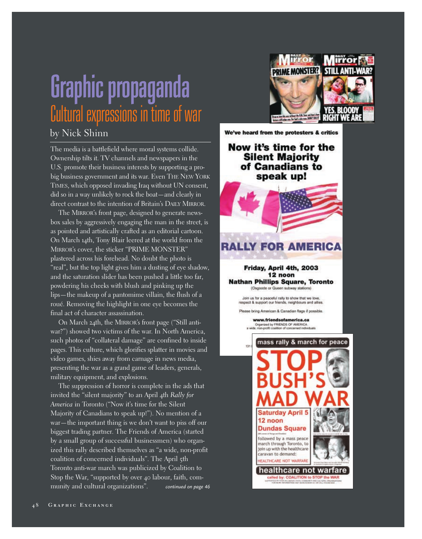## Graphic propaganda Cultural expressions in time of war

## by Nick Shinn

The media is a battlefield where moral systems collide. Ownership tilts it. TV channels and newspapers in the U.S. promote their business interests by supporting a probig business government and its war. Even THE NEW YORK TIMES, which opposed invading Iraq without UN consent, did so in a way unlikely to rock the boat—and clearly in direct contrast to the intention of Britain's DAILY MIRROR.

The MIRROR's front page, designed to generate newsbox sales by aggressively engaging the man in the street, is as pointed and artistically crafted as an editorial cartoon. On March 14th, Tony Blair leered at the world from the MIRROR's cover, the sticker "PRIME MONSTER" plastered across his forehead. No doubt the photo is "real", but the top light gives him a dusting of eye shadow, and the saturation slider has been pushed a little too far, powdering his cheeks with blush and pinking up the lips—the makeup of a pantomime villain, the flush of a roué. Removing the highlight in one eye becomes the final act of character assassination.

On March 24th, the MIRROR's front page ("Still antiwar?") showed two victims of the war. In North America, such photos of "collateral damage" are confined to inside pages. This culture, which glorifies splatter in movies and video games, shies away from carnage in news media, presenting the war as a grand game of leaders, generals, military equipment, and explosions.

The suppression of horror is complete in the ads that invited the "silent majority" to an April 4th *Rally for America* in Toronto ("Now it's time for the Silent Majority of Canadians to speak up!"). No mention of a war—the important thing is we don't want to piss off our biggest trading partner. The Friends of America (started by a small group of successful businessmen) who organized this rally described themselves as "a wide, non-profit coalition of concerned individuals". The April 5th Toronto anti-war march was publicized by Coalition to Stop the War, "supported by over 40 labour, faith, community and cultural organizations". *continued on page 46*



We've heard from the protesters & critics

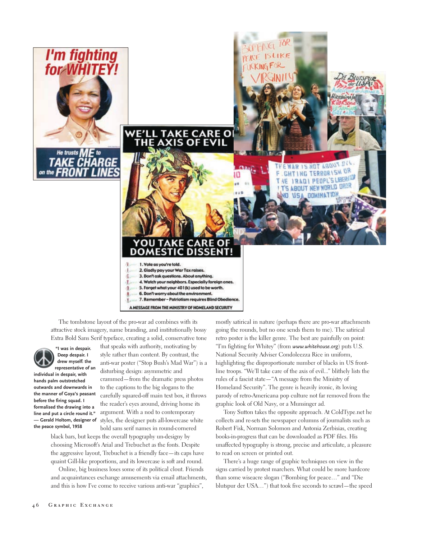



The tombstone layout of the pro-war ad combines with its attractive stock imagery, name branding, and institutionally bossy Extra Bold Sans Serif typeface, creating a solid, conservative tone



**"I was in despair. Deep despair. I drew myself: the representative of an**

**individual in despair, with hands palm outstretched outwards and downwards in the manner of Goya's peasant before the firing squad. I formalised the drawing into a line and put a circle round it." — Gerald Holtom, designer of the peace symbol, 1958**

that speaks with authority, motivating by style rather than content. By contrast, the anti-war poster ("Stop Bush's Mad War") is a disturbing design: asymmetric and crammed—from the dramatic press photos to the captions to the big slogans to the carefully squared-off main text box, it throws the reader's eyes around, driving home its argument. With a nod to contemporary styles, the designer puts all-lowercase white bold sans serif names in round-cornered

ΟU

Τ

black bars, but keeps the overall typography un-designy by choosing Microsoft's Arial and Trebuchet as the fonts. Despite the aggressive layout, Trebuchet is a friendly face—its caps have quaint Gill-like proportions, and its lowercase is soft and round.

Online, big business loses some of its political clout. Friends and acquaintances exchange amusements via email attachments, and this is how I've come to receive various anti-war "graphics",

mostly satirical in nature (perhaps there are pro-war attachments going the rounds, but no one sends them to me). The satirical retro poster is the killer genre. The best are painfully on point: "I'm fighting for Whitey" (from *www.whitehouse.org*) puts U.S. National Security Adviser Condoleezza Rice in uniform, highlighting the disproportionate number of blacks in US frontline troops. "We'll take care of the axis of evil..." blithely lists the rules of a fascist state—"A message from the Ministry of Homeland Security". The genre is heavily ironic, its loving parody of retro-Americana pop culture not far removed from the graphic look of Old Navy, or a Munsinger ad.

Tony Sutton takes the opposite approach. At ColdType.net he collects and re-sets the newspaper columns of journalists such as Robert Fisk, Norman Solomon and Antonia Zerbisias, creating books-in-progress that can be downloaded as PDF files. His unaffected typography is strong, precise and articulate, a pleasure to read on screen or printed out.

There's a huge range of graphic techniques on view in the signs carried by protest marchers. What could be more hardcore than some wiseacre slogan ("Bombing for peace…" and "Die blutspur der USA…") that took five seconds to scrawl—the speed